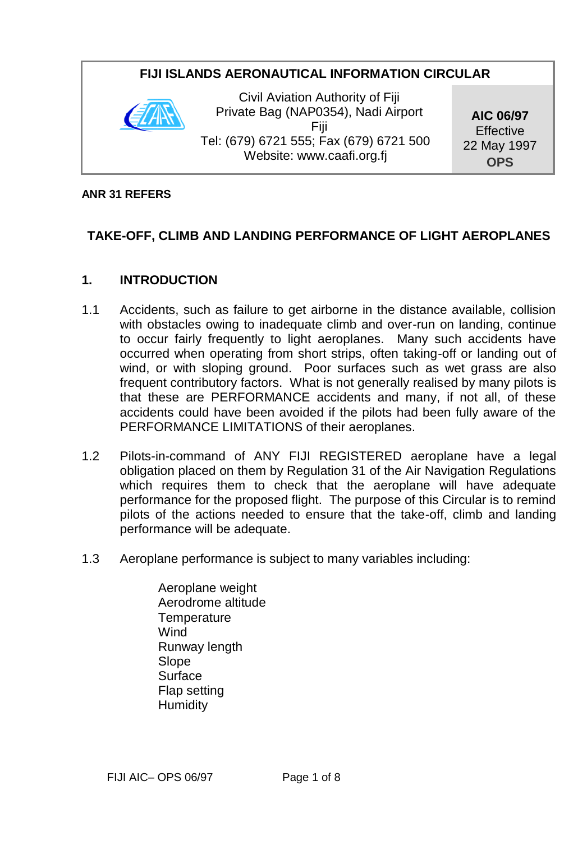### **FIJI ISLANDS AERONAUTICAL INFORMATION CIRCULAR**



Civil Aviation Authority of Fiji Private Bag (NAP0354), Nadi Airport Fiji Tel: (679) 6721 555; Fax (679) 6721 500 Website: www.caafi.org.fj

**AIC 06/97 Effective** 22 May 1997 **OPS**

#### **ANR 31 REFERS**

### **TAKE-OFF, CLIMB AND LANDING PERFORMANCE OF LIGHT AEROPLANES**

#### **1. INTRODUCTION**

- 1.1 Accidents, such as failure to get airborne in the distance available, collision with obstacles owing to inadequate climb and over-run on landing, continue to occur fairly frequently to light aeroplanes. Many such accidents have occurred when operating from short strips, often taking-off or landing out of wind, or with sloping ground. Poor surfaces such as wet grass are also frequent contributory factors. What is not generally realised by many pilots is that these are PERFORMANCE accidents and many, if not all, of these accidents could have been avoided if the pilots had been fully aware of the PERFORMANCE LIMITATIONS of their aeroplanes.
- 1.2 Pilots-in-command of ANY FIJI REGISTERED aeroplane have a legal obligation placed on them by Regulation 31 of the Air Navigation Regulations which requires them to check that the aeroplane will have adequate performance for the proposed flight. The purpose of this Circular is to remind pilots of the actions needed to ensure that the take-off, climb and landing performance will be adequate.
- 1.3 Aeroplane performance is subject to many variables including:
	- Aeroplane weight Aerodrome altitude **Temperature** Wind Runway length Slope **Surface** Flap setting Humidity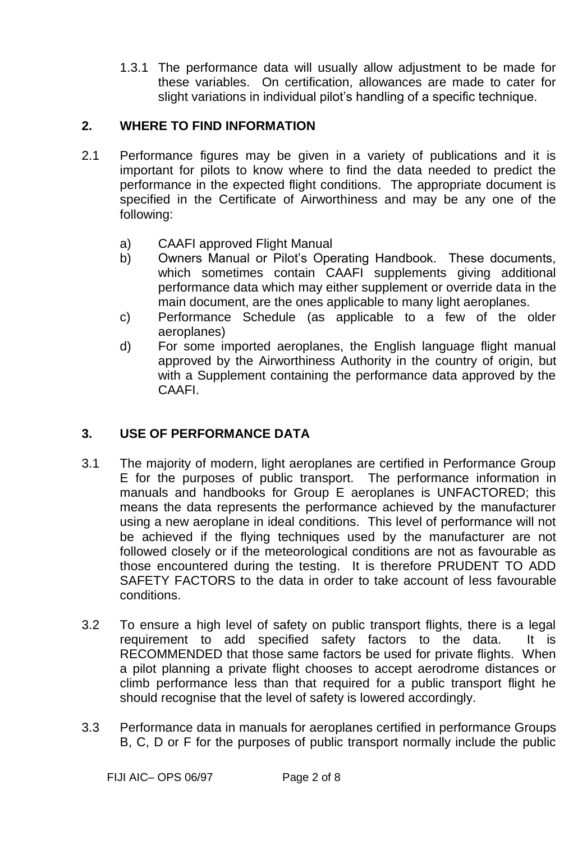1.3.1 The performance data will usually allow adjustment to be made for these variables. On certification, allowances are made to cater for slight variations in individual pilot's handling of a specific technique.

### **2. WHERE TO FIND INFORMATION**

- 2.1 Performance figures may be given in a variety of publications and it is important for pilots to know where to find the data needed to predict the performance in the expected flight conditions. The appropriate document is specified in the Certificate of Airworthiness and may be any one of the following:
	- a) CAAFI approved Flight Manual
	- b) Owners Manual or Pilot's Operating Handbook. These documents, which sometimes contain CAAFI supplements giving additional performance data which may either supplement or override data in the main document, are the ones applicable to many light aeroplanes.
	- c) Performance Schedule (as applicable to a few of the older aeroplanes)
	- d) For some imported aeroplanes, the English language flight manual approved by the Airworthiness Authority in the country of origin, but with a Supplement containing the performance data approved by the CAAFI.

## **3. USE OF PERFORMANCE DATA**

- 3.1 The majority of modern, light aeroplanes are certified in Performance Group E for the purposes of public transport. The performance information in manuals and handbooks for Group E aeroplanes is UNFACTORED; this means the data represents the performance achieved by the manufacturer using a new aeroplane in ideal conditions. This level of performance will not be achieved if the flying techniques used by the manufacturer are not followed closely or if the meteorological conditions are not as favourable as those encountered during the testing. It is therefore PRUDENT TO ADD SAFETY FACTORS to the data in order to take account of less favourable conditions.
- 3.2 To ensure a high level of safety on public transport flights, there is a legal requirement to add specified safety factors to the data. It is RECOMMENDED that those same factors be used for private flights. When a pilot planning a private flight chooses to accept aerodrome distances or climb performance less than that required for a public transport flight he should recognise that the level of safety is lowered accordingly.
- 3.3 Performance data in manuals for aeroplanes certified in performance Groups B, C, D or F for the purposes of public transport normally include the public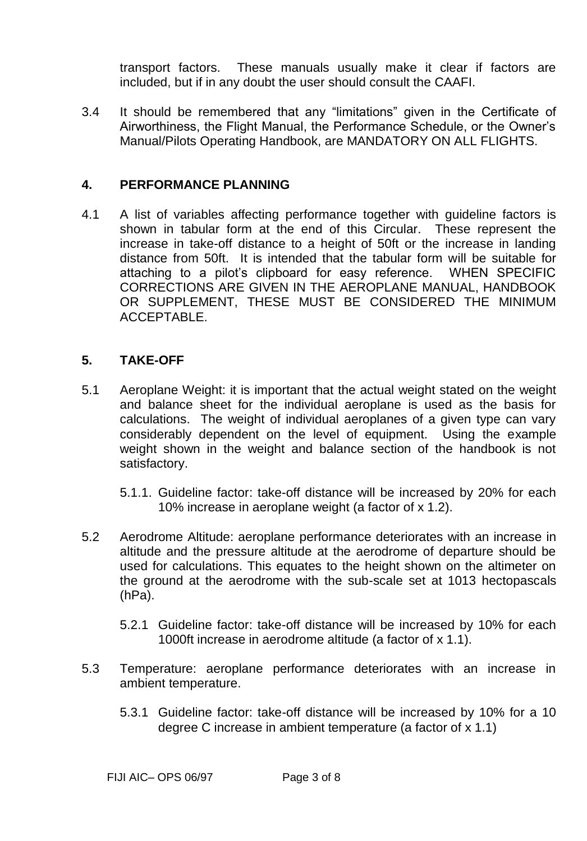transport factors. These manuals usually make it clear if factors are included, but if in any doubt the user should consult the CAAFI.

3.4 It should be remembered that any "limitations" given in the Certificate of Airworthiness, the Flight Manual, the Performance Schedule, or the Owner's Manual/Pilots Operating Handbook, are MANDATORY ON ALL FLIGHTS.

#### **4. PERFORMANCE PLANNING**

4.1 A list of variables affecting performance together with guideline factors is shown in tabular form at the end of this Circular. These represent the increase in take-off distance to a height of 50ft or the increase in landing distance from 50ft. It is intended that the tabular form will be suitable for attaching to a pilot's clipboard for easy reference. WHEN SPECIFIC CORRECTIONS ARE GIVEN IN THE AEROPLANE MANUAL, HANDBOOK OR SUPPLEMENT, THESE MUST BE CONSIDERED THE MINIMUM ACCEPTABLE.

#### **5. TAKE-OFF**

- 5.1 Aeroplane Weight: it is important that the actual weight stated on the weight and balance sheet for the individual aeroplane is used as the basis for calculations. The weight of individual aeroplanes of a given type can vary considerably dependent on the level of equipment. Using the example weight shown in the weight and balance section of the handbook is not satisfactory.
	- 5.1.1. Guideline factor: take-off distance will be increased by 20% for each 10% increase in aeroplane weight (a factor of x 1.2).
- 5.2 Aerodrome Altitude: aeroplane performance deteriorates with an increase in altitude and the pressure altitude at the aerodrome of departure should be used for calculations. This equates to the height shown on the altimeter on the ground at the aerodrome with the sub-scale set at 1013 hectopascals (hPa).
	- 5.2.1 Guideline factor: take-off distance will be increased by 10% for each 1000ft increase in aerodrome altitude (a factor of x 1.1).
- 5.3 Temperature: aeroplane performance deteriorates with an increase in ambient temperature.
	- 5.3.1 Guideline factor: take-off distance will be increased by 10% for a 10 degree C increase in ambient temperature (a factor of x 1.1)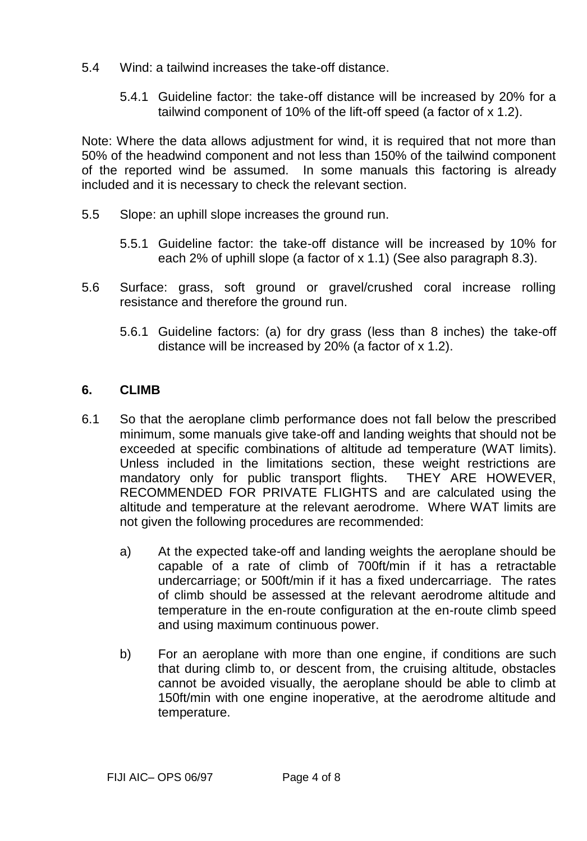- 5.4 Wind: a tailwind increases the take-off distance.
	- 5.4.1 Guideline factor: the take-off distance will be increased by 20% for a tailwind component of 10% of the lift-off speed (a factor of x 1.2).

Note: Where the data allows adjustment for wind, it is required that not more than 50% of the headwind component and not less than 150% of the tailwind component of the reported wind be assumed. In some manuals this factoring is already included and it is necessary to check the relevant section.

- 5.5 Slope: an uphill slope increases the ground run.
	- 5.5.1 Guideline factor: the take-off distance will be increased by 10% for each 2% of uphill slope (a factor of x 1.1) (See also paragraph 8.3).
- 5.6 Surface: grass, soft ground or gravel/crushed coral increase rolling resistance and therefore the ground run.
	- 5.6.1 Guideline factors: (a) for dry grass (less than 8 inches) the take-off distance will be increased by 20% (a factor of x 1.2).

### **6. CLIMB**

- 6.1 So that the aeroplane climb performance does not fall below the prescribed minimum, some manuals give take-off and landing weights that should not be exceeded at specific combinations of altitude ad temperature (WAT limits). Unless included in the limitations section, these weight restrictions are mandatory only for public transport flights. THEY ARE HOWEVER, RECOMMENDED FOR PRIVATE FLIGHTS and are calculated using the altitude and temperature at the relevant aerodrome. Where WAT limits are not given the following procedures are recommended:
	- a) At the expected take-off and landing weights the aeroplane should be capable of a rate of climb of 700ft/min if it has a retractable undercarriage; or 500ft/min if it has a fixed undercarriage. The rates of climb should be assessed at the relevant aerodrome altitude and temperature in the en-route configuration at the en-route climb speed and using maximum continuous power.
	- b) For an aeroplane with more than one engine, if conditions are such that during climb to, or descent from, the cruising altitude, obstacles cannot be avoided visually, the aeroplane should be able to climb at 150ft/min with one engine inoperative, at the aerodrome altitude and temperature.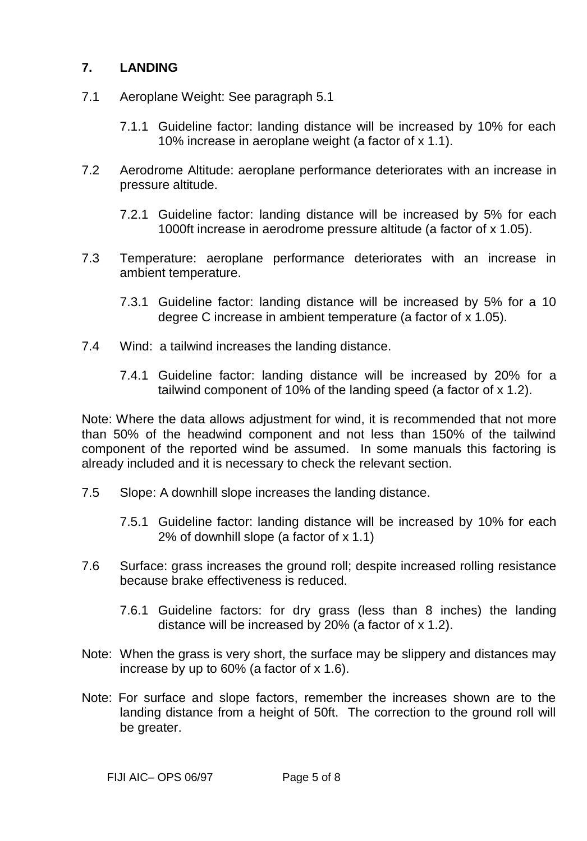### **7. LANDING**

- 7.1 Aeroplane Weight: See paragraph 5.1
	- 7.1.1 Guideline factor: landing distance will be increased by 10% for each 10% increase in aeroplane weight (a factor of x 1.1).
- 7.2 Aerodrome Altitude: aeroplane performance deteriorates with an increase in pressure altitude.
	- 7.2.1 Guideline factor: landing distance will be increased by 5% for each 1000ft increase in aerodrome pressure altitude (a factor of x 1.05).
- 7.3 Temperature: aeroplane performance deteriorates with an increase in ambient temperature.
	- 7.3.1 Guideline factor: landing distance will be increased by 5% for a 10 degree C increase in ambient temperature (a factor of x 1.05).
- 7.4 Wind: a tailwind increases the landing distance.
	- 7.4.1 Guideline factor: landing distance will be increased by 20% for a tailwind component of 10% of the landing speed (a factor of x 1.2).

Note: Where the data allows adjustment for wind, it is recommended that not more than 50% of the headwind component and not less than 150% of the tailwind component of the reported wind be assumed. In some manuals this factoring is already included and it is necessary to check the relevant section.

- 7.5 Slope: A downhill slope increases the landing distance.
	- 7.5.1 Guideline factor: landing distance will be increased by 10% for each 2% of downhill slope (a factor of x 1.1)
- 7.6 Surface: grass increases the ground roll; despite increased rolling resistance because brake effectiveness is reduced.
	- 7.6.1 Guideline factors: for dry grass (less than 8 inches) the landing distance will be increased by 20% (a factor of x 1.2).
- Note: When the grass is very short, the surface may be slippery and distances may increase by up to 60% (a factor of x 1.6).
- Note: For surface and slope factors, remember the increases shown are to the landing distance from a height of 50ft. The correction to the ground roll will be greater.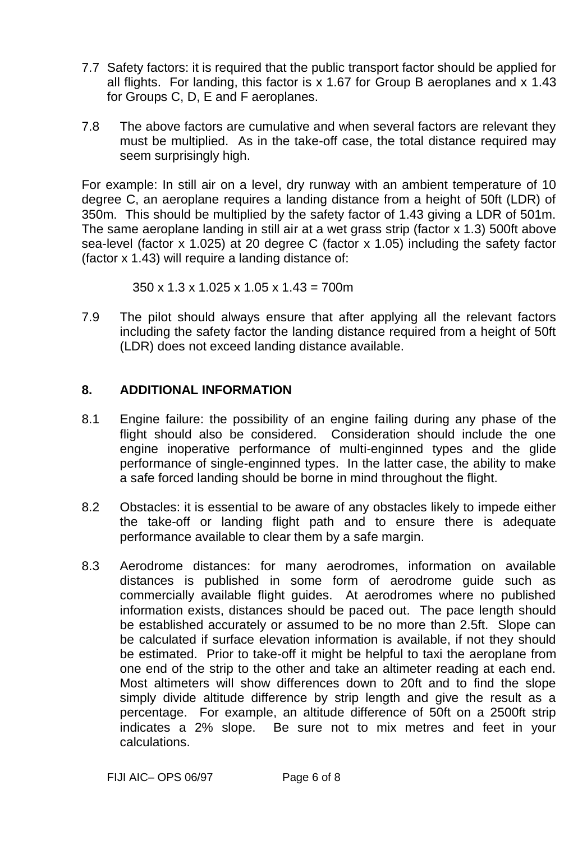- 7.7 Safety factors: it is required that the public transport factor should be applied for all flights. For landing, this factor is x 1.67 for Group B aeroplanes and x 1.43 for Groups C, D, E and F aeroplanes.
- 7.8 The above factors are cumulative and when several factors are relevant they must be multiplied. As in the take-off case, the total distance required may seem surprisingly high.

For example: In still air on a level, dry runway with an ambient temperature of 10 degree C, an aeroplane requires a landing distance from a height of 50ft (LDR) of 350m. This should be multiplied by the safety factor of 1.43 giving a LDR of 501m. The same aeroplane landing in still air at a wet grass strip (factor x 1.3) 500ft above sea-level (factor x 1.025) at 20 degree C (factor x 1.05) including the safety factor (factor x 1.43) will require a landing distance of:

 $350 \times 1.3 \times 1.025 \times 1.05 \times 1.43 = 700$  m

7.9 The pilot should always ensure that after applying all the relevant factors including the safety factor the landing distance required from a height of 50ft (LDR) does not exceed landing distance available.

#### **8. ADDITIONAL INFORMATION**

- 8.1 Engine failure: the possibility of an engine failing during any phase of the flight should also be considered. Consideration should include the one engine inoperative performance of multi-enginned types and the glide performance of single-enginned types. In the latter case, the ability to make a safe forced landing should be borne in mind throughout the flight.
- 8.2 Obstacles: it is essential to be aware of any obstacles likely to impede either the take-off or landing flight path and to ensure there is adequate performance available to clear them by a safe margin.
- 8.3 Aerodrome distances: for many aerodromes, information on available distances is published in some form of aerodrome guide such as commercially available flight guides. At aerodromes where no published information exists, distances should be paced out. The pace length should be established accurately or assumed to be no more than 2.5ft. Slope can be calculated if surface elevation information is available, if not they should be estimated. Prior to take-off it might be helpful to taxi the aeroplane from one end of the strip to the other and take an altimeter reading at each end. Most altimeters will show differences down to 20ft and to find the slope simply divide altitude difference by strip length and give the result as a percentage. For example, an altitude difference of 50ft on a 2500ft strip indicates a 2% slope. Be sure not to mix metres and feet in your calculations.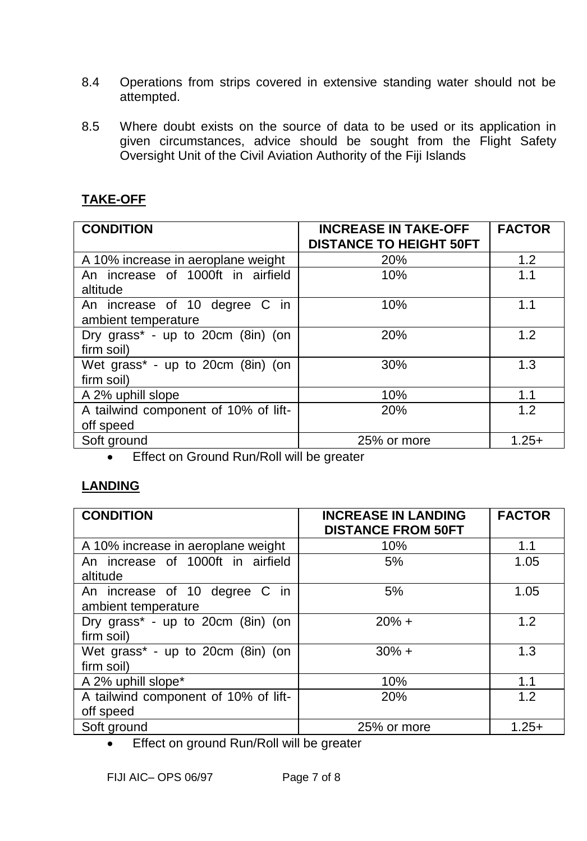- 8.4 Operations from strips covered in extensive standing water should not be attempted.
- 8.5 Where doubt exists on the source of data to be used or its application in given circumstances, advice should be sought from the Flight Safety Oversight Unit of the Civil Aviation Authority of the Fiji Islands

## **TAKE-OFF**

| <b>CONDITION</b>                                     | <b>INCREASE IN TAKE-OFF</b><br><b>DISTANCE TO HEIGHT 50FT</b> | <b>FACTOR</b> |
|------------------------------------------------------|---------------------------------------------------------------|---------------|
| A 10% increase in aeroplane weight                   | 20%                                                           | 1.2           |
| An increase of 1000ft in airfield<br>altitude        | 10%                                                           | 1.1           |
| An increase of 10 degree C in<br>ambient temperature | 10%                                                           | 1.1           |
| Dry grass* - up to 20cm (8in) (on<br>firm soil)      | 20%                                                           | 1.2           |
| Wet grass* - up to 20cm (8in) (on<br>firm soil)      | 30%                                                           | 1.3           |
| A 2% uphill slope                                    | 10%                                                           | 1.1           |
| A tailwind component of 10% of lift-<br>off speed    | 20%                                                           | 1.2           |
| Soft ground                                          | 25% or more                                                   | $1.25+$       |

**Effect on Ground Run/Roll will be greater** 

# **LANDING**

| <b>CONDITION</b>                                              | <b>INCREASE IN LANDING</b><br><b>DISTANCE FROM 50FT</b> | <b>FACTOR</b> |
|---------------------------------------------------------------|---------------------------------------------------------|---------------|
| A 10% increase in aeroplane weight                            | 10%                                                     | 1.1           |
| An increase of 1000ft in airfield<br>altitude                 | 5%                                                      | 1.05          |
| An increase of 10 degree C in<br>ambient temperature          | 5%                                                      | 1.05          |
| Dry grass* - up to 20cm (8in) (on<br>firm soil)               | $20% +$                                                 | 1.2           |
| Wet grass* - up to 20cm (8in) (on<br>firm soil)               | $30\% +$                                                | 1.3           |
| A 2% uphill slope*                                            | 10%                                                     | 1.1           |
| A tailwind component of 10% of lift-<br>off speed             | 20%                                                     | 1.2           |
| Soft ground<br>$\sim$ $\sim$ $\sim$ $\sim$ $\sim$<br>$\cdots$ | 25% or more                                             | $1.25+$       |

Effect on ground Run/Roll will be greater